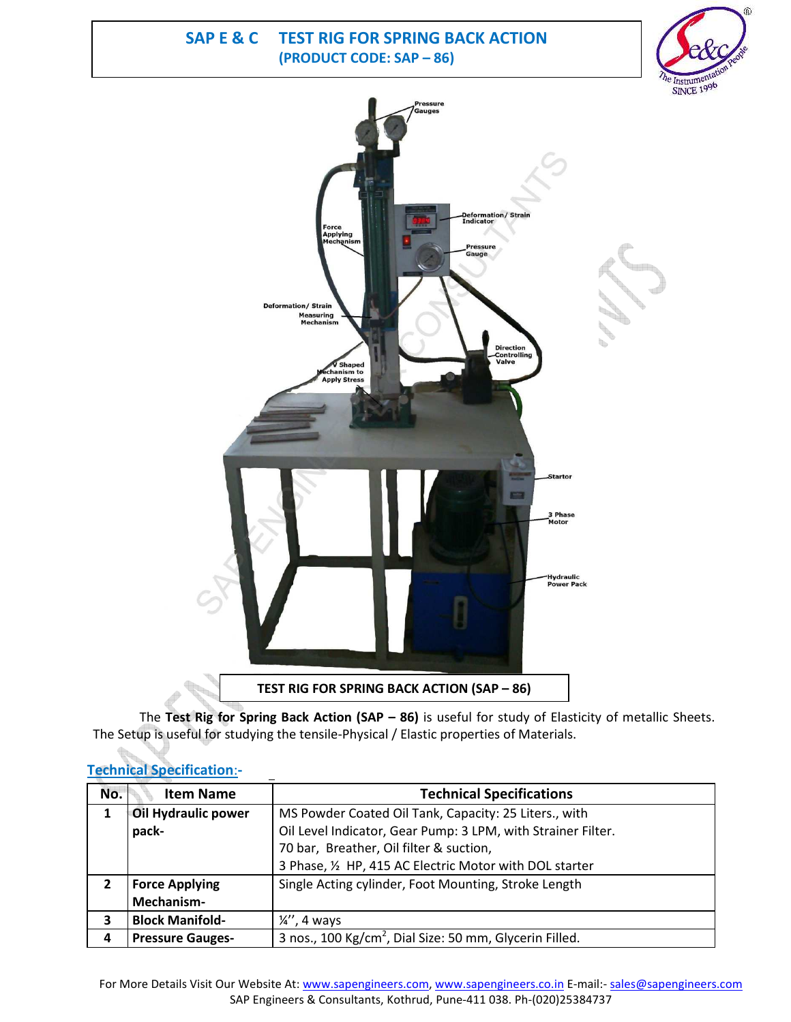**SAP E & C TEST RIG FOR SPRING BACK ACTION (PRODUCT CODE: SAP – 86)**





The **Test Rig for Spring Back Action (SAP – 86)** is useful for study of Elasticity of metallic Sheets. The Setup is useful for studying the tensile-Physical / Elastic properties of Materials.

# **Technical Specification**:**-**

| No. | <b>Item Name</b>        | <b>Technical Specifications</b>                                     |
|-----|-------------------------|---------------------------------------------------------------------|
| 1   | Oil Hydraulic power     | MS Powder Coated Oil Tank, Capacity: 25 Liters., with               |
|     | pack-                   | Oil Level Indicator, Gear Pump: 3 LPM, with Strainer Filter.        |
|     |                         | 70 bar, Breather, Oil filter & suction,                             |
|     |                         | 3 Phase, 1/2 HP, 415 AC Electric Motor with DOL starter             |
| 2   | <b>Force Applying</b>   | Single Acting cylinder, Foot Mounting, Stroke Length                |
|     | Mechanism-              |                                                                     |
| 3   | <b>Block Manifold-</b>  | $\frac{1}{4}$ , 4 ways                                              |
| 4   | <b>Pressure Gauges-</b> | 3 nos., 100 Kg/cm <sup>2</sup> , Dial Size: 50 mm, Glycerin Filled. |

For More Details Visit Our Website At: www.sapengineers.com, www.sapengineers.co.in E-mail:- sales@sapengineers.com SAP Engineers & Consultants, Kothrud, Pune-411 038. Ph-(020)25384737